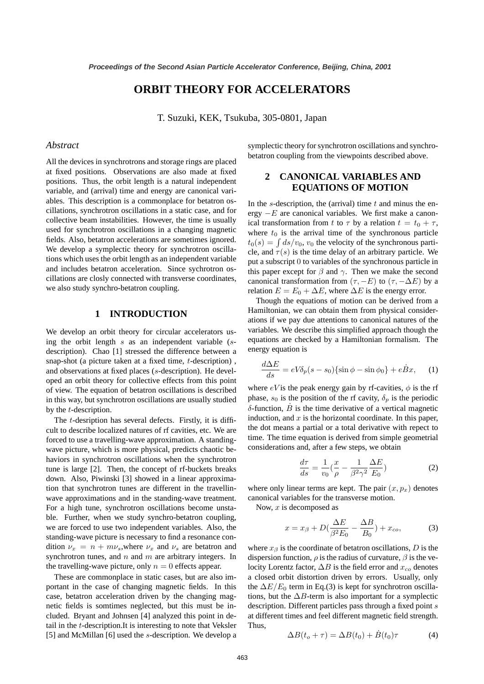# **ORBIT THEORY FOR ACCELERATORS**

T. Suzuki, KEK, Tsukuba, 305-0801, Japan

### *Abstract*

All the devices in synchrotrons and storage rings are placed at fixed positions. Observations are also made at fixed positions. Thus, the orbit length is a natural independent variable, and (arrival) time and energy are canonical variables. This description is a commonplace for betatron oscillations, synchrotron oscillations in a static case, and for collective beam instabilities. However, the time is usually used for synchrotron oscillations in a changing magnetic fields. Also, betatron accelerations are sometimes ignored. We develop a symplectic theory for synchrotron oscillations which uses the orbit length as an independent variable and includes betatron acceleration. Since sychrotron oscillations are closly connected with transverse coordinates, we also study synchro-betatron coupling.

### **1 INTRODUCTION**

We develop an orbit theory for circular accelerators using the orbit length  $s$  as an independent variable  $(s$ description). Chao [1] stressed the difference between a snap-shot (a picture taken at a fixed time, t-description) , and observations at fixed places (s-description). He developed an orbit theory for collective effects from this point of view. The equation of betatron oscillations is described in this way, but synchrotron oscillations are usually studied by the t-description.

The t-desription has several defects. Firstly, it is difficult to describe localized natures of rf cavities, etc. We are forced to use a travelling-wave approximation. A standingwave picture, which is more physical, predicts chaotic behaviors in synchrotron oscillations when the synchrotron tune is large [2]. Then, the concept of rf-buckets breaks down. Also, Piwinski [3] showed in a linear approximation that synchrotron tunes are different in the travellinwave approximations and in the standing-wave treatment. For a high tune, synchrotron oscillations become unstable. Further, when we study synchro-betatron coupling, we are forced to use two independent variables. Also, the standing-wave picture is necessary to find a resonance condition  $\nu_x = n + m\nu_s$ , where  $\nu_x$  and  $\nu_s$  are betatron and synchrotron tunes, and  $n$  and  $m$  are arbitrary integers. In the travelling-wave picture, only  $n = 0$  effects appear.

These are commonplace in static cases, but are also important in the case of changing magnetic fields. In this case, betatron acceleration driven by the changing magnetic fields is somtimes neglected, but this must be included. Bryant and Johnsen [4] analyzed this point in detail in the t-description.It is interesting to note that Veksler [5] and McMillan [6] used the s-description. We develop a symplectic theory for synchrotron oscillations and synchrobetatron coupling from the viewpoints described above.

# **2 CANONICAL VARIABLES AND EQUATIONS OF MOTION**

In the s-description, the (arrival) time  $t$  and minus the energy  $-E$  are canonical variables. We first make a canonical transformation from t to  $\tau$  by a relation  $t = t_0 + \tau$ , where  $t_0$  is the arrival time of the synchronous particle  $t_0(s) = \int ds/v_0, v_0$  the velocity of the synchronous particle, and  $\tau(s)$  is the time delay of an arbitrary particle. We put a subscript 0 to variables of the synchronous particle in this paper except for  $\beta$  and  $\gamma$ . Then we make the second canonical transformation from  $(\tau, -E)$  to  $(\tau, -\Delta E)$  by a relation  $E = E_0 + \Delta E$ , where  $\Delta E$  is the energy error.

Though the equations of motion can be derived from a Hamiltonian, we can obtain them from physical considerations if we pay due attentions to canonical natures of the variables. We describe this simplified approach though the equations are checked by a Hamiltonian formalism. The energy equation is

$$
\frac{d\Delta E}{ds} = eV\delta_p(s - s_0)\{\sin\phi - \sin\phi_0\} + e\dot{B}x,\qquad(1)
$$

where  $eV$  is the peak energy gain by rf-cavities,  $\phi$  is the rf phase,  $s_0$  is the position of the rf cavity,  $\delta_p$  is the periodic δ-function,  $B$  is the time derivative of a vertical magnetic induction, and  $x$  is the horizontal coordinate. In this paper, the dot means a partial or a total derivative with repect to time. The time equation is derived from simple geometrial considerations and, after a few steps, we obtain

$$
\frac{d\tau}{ds} = \frac{1}{v_0} \left(\frac{x}{\rho} - \frac{1}{\beta^2 \gamma^2} \frac{\Delta E}{E_0}\right) \tag{2}
$$

where only linear terms are kept. The pair  $(x, p_x)$  denotes canonical variables for the transverse motion.

Now,  $x$  is decomposed as

$$
x = x_{\beta} + D\left(\frac{\Delta E}{\beta^2 E_0} - \frac{\Delta B}{B_0}\right) + x_{co},\tag{3}
$$

where  $x_\beta$  is the coordinate of betatron oscillations, D is the dispersion function,  $\rho$  is the radius of curvature,  $\beta$  is the velocity Lorentz factor,  $\Delta B$  is the field error and  $x_{co}$  denotes a closed orbit distortion driven by errors. Usually, only the  $\Delta E/E_0$  term in Eq.(3) is kept for synchrotron oscillations, but the  $\Delta B$ -term is also important for a symplectic description. Different particles pass through a fixed point s at different times and feel different magnetic field strength. Thus,

$$
\Delta B(t_o + \tau) = \Delta B(t_0) + \dot{B}(t_0)\tau \tag{4}
$$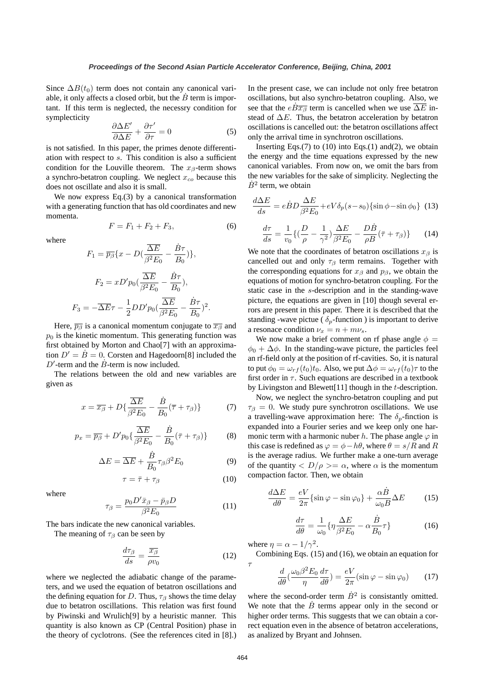Since  $\Delta B(t_0)$  term does not contain any canonical variable, it only affects a closed orbit, but the  $B$  term is important. If this term is neglected, the necessry condition for symplecticity

$$
\frac{\partial \Delta E'}{\partial \Delta E} + \frac{\partial \tau'}{\partial \tau} = 0 \tag{5}
$$

is not satisfied. In this paper, the primes denote differentiation with respect to s. This condition is also a sufficient condition for the Louville theorem. The  $x_\beta$ -term shows a synchro-betatron coupling. We neglect  $x_{co}$  because this does not oscillate and also it is small.

We now express Eq.(3) by a canonical transformation with a generating function that has old coordinates and new momenta.

$$
F = F_1 + F_2 + F_3,\t\t(6)
$$

where

$$
F_1 = \overline{p_\beta} \{x - D(\frac{\overline{\Delta E}}{\beta^2 E_0} - \frac{\dot{B}\tau}{B_0})\},
$$
  

$$
F_2 = xD'p_0(\frac{\overline{\Delta E}}{\beta^2 E_0} - \frac{\dot{B}\tau}{B_0}),
$$
  

$$
F_3 = -\overline{\Delta E}\tau - \frac{1}{2}DD'p_0(\frac{\overline{\Delta E}}{\beta^2 E_0} - \frac{\dot{B}\tau}{B_0})^2.
$$

Here,  $\overline{p_{\beta}}$  is a canonical momentum conjugate to  $\overline{x_{\beta}}$  and  $p<sub>0</sub>$  is the kinetic momentum. This generating function was first obtained by Morton and Chao[7] with an approximation  $D' = \dot{B} = 0$ . Corsten and Hagedoorn[8] included the  $D'$ -term and the  $\dot{B}$ -term is now included.

The relations between the old and new variables are given as

$$
x = \overline{x_{\beta}} + D\{\frac{\overline{\Delta E}}{\beta^2 E_0} - \frac{\dot{B}}{B_0}(\overline{\tau} + \tau_{\beta})\}
$$
 (7)

$$
p_x = \overline{p_\beta} + D' p_0 \left\{ \frac{\overline{\Delta E}}{\beta^2 E_0} - \frac{\dot{B}}{B_0} (\bar{\tau} + \tau_\beta) \right\} \tag{8}
$$

$$
\Delta E = \overline{\Delta E} + \frac{\dot{B}}{B_0} \tau_\beta \beta^2 E_0 \tag{9}
$$

$$
\tau = \bar{\tau} + \tau_{\beta} \tag{10}
$$

where

$$
\tau_{\beta} = \frac{p_0 D' \bar{x}_{\beta} - \bar{p}_{\beta} D}{\beta^2 E_0} \tag{11}
$$

The bars indicate the new canonical variables.

The meaning of  $\tau_\beta$  can be seen by

$$
\frac{d\tau_{\beta}}{ds} = \frac{\overline{x_{\beta}}}{\rho v_0} \tag{12}
$$

where we neglected the adiabatic change of the parameters, and we used the equation of betatron oscillations and the defining equation for D. Thus,  $\tau_\beta$  shows the time delay due to betatron oscillations. This relation was first found by Piwinski and Wrulich[9] by a heuristic manner. This quantity is also known as CP (Central Position) phase in the theory of cyclotrons. (See the references cited in [8].) In the present case, we can include not only free betatron oscillations, but also synchro-betatron coupling. Also, we see that the  $e\overline{B\overline{x}}_B$  term is cancelled when we use  $\overline{\Delta E}$  instead of  $\Delta E$ . Thus, the betatron acceleration by betatron oscillations is cancelled out: the betatron oscillations affect only the arrival time in synchrotron oscillations.

Inserting Eqs. $(7)$  to  $(10)$  into Eqs. $(1)$  and $(2)$ , we obtain the energy and the time equations expressed by the new canonical variables. From now on, we omit the bars from the new variables for the sake of simplicity. Neglecting the  $\dot{B}^2$  term, we obtain

$$
\frac{d\Delta E}{ds} = e\dot{B}D\frac{\Delta E}{\beta^2 E_0} + eV\delta_p(s - s_0)\{\sin\phi - \sin\phi_0\} \tag{13}
$$

$$
\frac{d\tau}{ds} = \frac{1}{v_0} \{ \left(\frac{D}{\rho} - \frac{1}{\gamma^2}\right) \frac{\Delta E}{\beta^2 E_0} - \frac{D\dot{B}}{\rho B} (\bar{\tau} + \tau_\beta) \} \tag{14}
$$

We note that the coordinates of betatron oscillations  $x_\beta$  is cancelled out and only  $\tau_\beta$  term remains. Together with the corresponding equations for  $x_\beta$  and  $p_\beta$ , we obtain the equations of motion for synchro-betatron coupling. For the static case in the s-description and in the standing-wave picture, the equations are given in [10] though several errors are present in this paper. There it is described that the standing -wave pictue ( $\delta_p$ -function) is important to derive a resonace condition  $\nu_x = n + m\nu_s$ .

We now make a brief comment on rf phase angle  $\phi =$  $\phi_0 + \Delta \phi$ . In the standing-wave picture, the particles feel an rf-field only at the position of rf-cavities. So, it is natural to put  $\phi_0 = \omega_{rf}(t_0)t_0$ . Also, we put  $\Delta \phi = \omega_{rf}(t_0)\tau$  to the first order in  $\tau$ . Such equations are described in a textbook by Livingston and Blewett[11] though in the t-description.

Now, we neglect the synchro-betatron coupling and put  $\tau_\beta = 0$ . We study pure synchrotron oscillations. We use a travelling-wave approximation here: The  $\delta_p$ -finction is expanded into a Fourier series and we keep only one harmonic term with a harmonic nuber h. The phase angle  $\varphi$  in this case is redefined as  $\varphi = \phi - h\theta$ , where  $\theta = s/R$  and R is the average radius. We further make a one-turn average of the quantity  $\langle D/\rho \rangle = \alpha$ , where  $\alpha$  is the momentum compaction factor. Then, we obtain

$$
\frac{d\Delta E}{d\theta} = \frac{eV}{2\pi} \{\sin \varphi - \sin \varphi_0\} + \frac{\alpha \dot{B}}{\omega_0 B} \Delta E \tag{15}
$$

$$
\frac{d\tau}{d\theta} = \frac{1}{\omega_0} \{ \eta \frac{\Delta E}{\beta^2 E_0} - \alpha \frac{\dot{B}}{B_0} \tau \}
$$
(16)

where  $\eta = \alpha - 1/\gamma^2$ .

Combining Eqs. (15) and (16), we obtain an equation for

$$
\tau \frac{d}{d\theta} \left( \frac{\omega_0 \beta^2 E_0}{\eta} \frac{d\tau}{d\theta} \right) = \frac{eV}{2\pi} (\sin \varphi - \sin \varphi_0) \tag{17}
$$

where the second-order term  $\dot{B}^2$  is consistantly omitted. We note that the  $B$  terms appear only in the second or higher order terms. This suggests that we can obtain a correct equation even in the absence of betatron accelerations, as analized by Bryant and Johnsen.